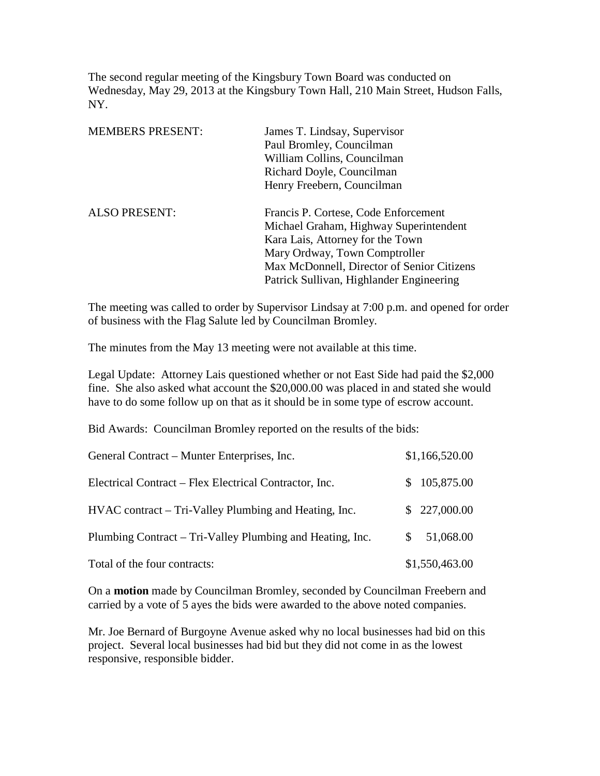The second regular meeting of the Kingsbury Town Board was conducted on Wednesday, May 29, 2013 at the Kingsbury Town Hall, 210 Main Street, Hudson Falls, NY.

| James T. Lindsay, Supervisor               |
|--------------------------------------------|
| Paul Bromley, Councilman                   |
| William Collins, Councilman                |
| Richard Doyle, Councilman                  |
| Henry Freebern, Councilman                 |
| Francis P. Cortese, Code Enforcement       |
| Michael Graham, Highway Superintendent     |
| Kara Lais, Attorney for the Town           |
| Mary Ordway, Town Comptroller              |
| Max McDonnell, Director of Senior Citizens |
| Patrick Sullivan, Highlander Engineering   |
|                                            |

The meeting was called to order by Supervisor Lindsay at 7:00 p.m. and opened for order of business with the Flag Salute led by Councilman Bromley.

The minutes from the May 13 meeting were not available at this time.

Legal Update: Attorney Lais questioned whether or not East Side had paid the \$2,000 fine. She also asked what account the \$20,000.00 was placed in and stated she would have to do some follow up on that as it should be in some type of escrow account.

Bid Awards: Councilman Bromley reported on the results of the bids:

| General Contract – Munter Enterprises, Inc.               | \$1,166,520.00 |
|-----------------------------------------------------------|----------------|
| Electrical Contract – Flex Electrical Contractor, Inc.    | \$105,875.00   |
| HVAC contract – Tri-Valley Plumbing and Heating, Inc.     | \$227,000.00   |
| Plumbing Contract – Tri-Valley Plumbing and Heating, Inc. | 51,068.00      |
| Total of the four contracts:                              | \$1,550,463.00 |

On a **motion** made by Councilman Bromley, seconded by Councilman Freebern and carried by a vote of 5 ayes the bids were awarded to the above noted companies.

Mr. Joe Bernard of Burgoyne Avenue asked why no local businesses had bid on this project. Several local businesses had bid but they did not come in as the lowest responsive, responsible bidder.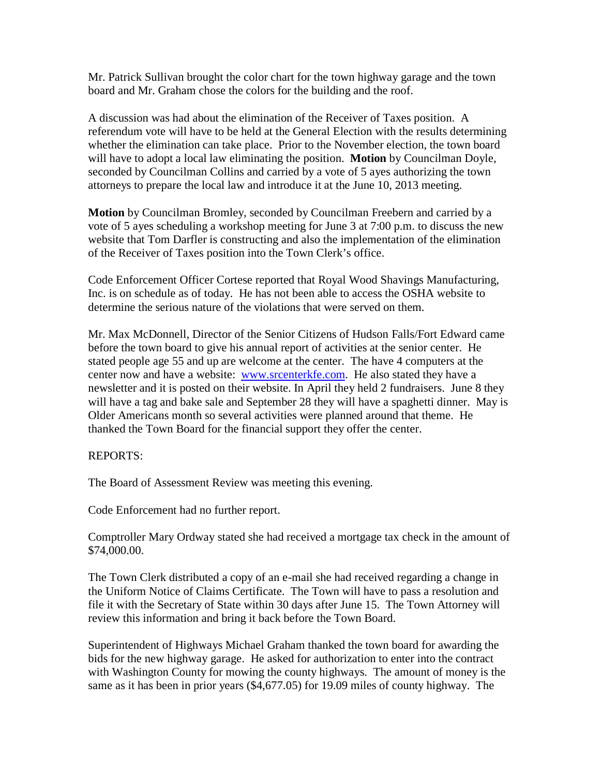Mr. Patrick Sullivan brought the color chart for the town highway garage and the town board and Mr. Graham chose the colors for the building and the roof.

A discussion was had about the elimination of the Receiver of Taxes position. A referendum vote will have to be held at the General Election with the results determining whether the elimination can take place. Prior to the November election, the town board will have to adopt a local law eliminating the position. **Motion** by Councilman Doyle, seconded by Councilman Collins and carried by a vote of 5 ayes authorizing the town attorneys to prepare the local law and introduce it at the June 10, 2013 meeting.

**Motion** by Councilman Bromley, seconded by Councilman Freebern and carried by a vote of 5 ayes scheduling a workshop meeting for June 3 at 7:00 p.m. to discuss the new website that Tom Darfler is constructing and also the implementation of the elimination of the Receiver of Taxes position into the Town Clerk's office.

Code Enforcement Officer Cortese reported that Royal Wood Shavings Manufacturing, Inc. is on schedule as of today. He has not been able to access the OSHA website to determine the serious nature of the violations that were served on them.

Mr. Max McDonnell, Director of the Senior Citizens of Hudson Falls/Fort Edward came before the town board to give his annual report of activities at the senior center. He stated people age 55 and up are welcome at the center. The have 4 computers at the center now and have a website: [www.srcenterkfe.com.](http://www.srcenterkfe.com/) He also stated they have a newsletter and it is posted on their website. In April they held 2 fundraisers. June 8 they will have a tag and bake sale and September 28 they will have a spaghetti dinner. May is Older Americans month so several activities were planned around that theme. He thanked the Town Board for the financial support they offer the center.

## REPORTS:

The Board of Assessment Review was meeting this evening.

Code Enforcement had no further report.

Comptroller Mary Ordway stated she had received a mortgage tax check in the amount of \$74,000.00.

The Town Clerk distributed a copy of an e-mail she had received regarding a change in the Uniform Notice of Claims Certificate. The Town will have to pass a resolution and file it with the Secretary of State within 30 days after June 15. The Town Attorney will review this information and bring it back before the Town Board.

Superintendent of Highways Michael Graham thanked the town board for awarding the bids for the new highway garage. He asked for authorization to enter into the contract with Washington County for mowing the county highways. The amount of money is the same as it has been in prior years (\$4,677.05) for 19.09 miles of county highway. The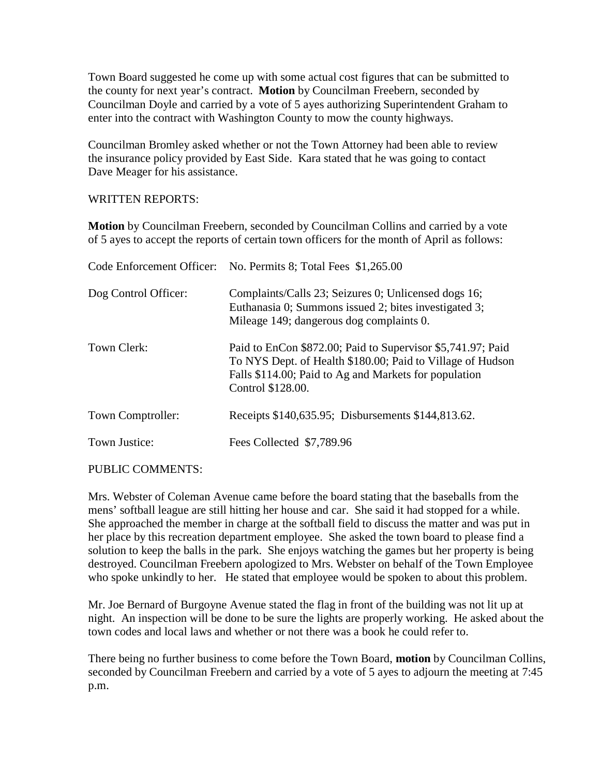Town Board suggested he come up with some actual cost figures that can be submitted to the county for next year's contract. **Motion** by Councilman Freebern, seconded by Councilman Doyle and carried by a vote of 5 ayes authorizing Superintendent Graham to enter into the contract with Washington County to mow the county highways.

Councilman Bromley asked whether or not the Town Attorney had been able to review the insurance policy provided by East Side. Kara stated that he was going to contact Dave Meager for his assistance.

WRITTEN REPORTS:

**Motion** by Councilman Freebern, seconded by Councilman Collins and carried by a vote of 5 ayes to accept the reports of certain town officers for the month of April as follows:

|                      | Code Enforcement Officer: No. Permits 8; Total Fees \$1,265.00                                                                                                                                          |
|----------------------|---------------------------------------------------------------------------------------------------------------------------------------------------------------------------------------------------------|
| Dog Control Officer: | Complaints/Calls 23; Seizures 0; Unlicensed dogs 16;<br>Euthanasia 0; Summons issued 2; bites investigated 3;<br>Mileage 149; dangerous dog complaints 0.                                               |
| Town Clerk:          | Paid to EnCon \$872.00; Paid to Supervisor \$5,741.97; Paid<br>To NYS Dept. of Health \$180.00; Paid to Village of Hudson<br>Falls \$114.00; Paid to Ag and Markets for population<br>Control \$128.00. |
| Town Comptroller:    | Receipts \$140,635.95; Disbursements \$144,813.62.                                                                                                                                                      |
| Town Justice:        | Fees Collected \$7,789.96                                                                                                                                                                               |
|                      |                                                                                                                                                                                                         |

PUBLIC COMMENTS:

Mrs. Webster of Coleman Avenue came before the board stating that the baseballs from the mens' softball league are still hitting her house and car. She said it had stopped for a while. She approached the member in charge at the softball field to discuss the matter and was put in her place by this recreation department employee. She asked the town board to please find a solution to keep the balls in the park. She enjoys watching the games but her property is being destroyed. Councilman Freebern apologized to Mrs. Webster on behalf of the Town Employee who spoke unkindly to her. He stated that employee would be spoken to about this problem.

Mr. Joe Bernard of Burgoyne Avenue stated the flag in front of the building was not lit up at night. An inspection will be done to be sure the lights are properly working. He asked about the town codes and local laws and whether or not there was a book he could refer to.

There being no further business to come before the Town Board, **motion** by Councilman Collins, seconded by Councilman Freebern and carried by a vote of 5 ayes to adjourn the meeting at 7:45 p.m.